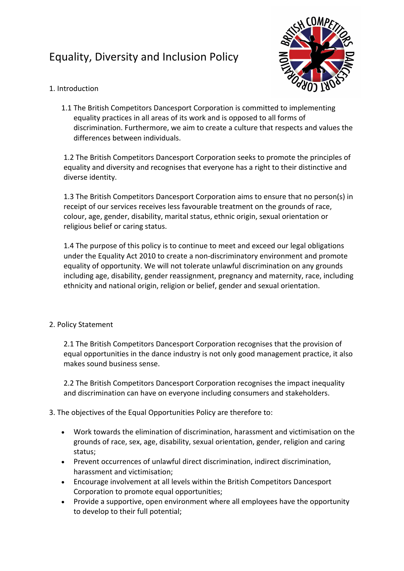# Equality, Diversity and Inclusion Policy



## 1. Introduction

1.1 The British Competitors Dancesport Corporation is committed to implementing equality practices in all areas of its work and is opposed to all forms of discrimination. Furthermore, we aim to create a culture that respects and values the differences between individuals.

1.2 The British Competitors Dancesport Corporation seeks to promote the principles of equality and diversity and recognises that everyone has a right to their distinctive and diverse identity.

1.3 The British Competitors Dancesport Corporation aims to ensure that no person(s) in receipt of our services receives less favourable treatment on the grounds of race, colour, age, gender, disability, marital status, ethnic origin, sexual orientation or religious belief or caring status.

1.4 The purpose of this policy is to continue to meet and exceed our legal obligations under the Equality Act 2010 to create a non-discriminatory environment and promote equality of opportunity. We will not tolerate unlawful discrimination on any grounds including age, disability, gender reassignment, pregnancy and maternity, race, including ethnicity and national origin, religion or belief, gender and sexual orientation.

## 2. Policy Statement

2.1 The British Competitors Dancesport Corporation recognises that the provision of equal opportunities in the dance industry is not only good management practice, it also makes sound business sense.

2.2 The British Competitors Dancesport Corporation recognises the impact inequality and discrimination can have on everyone including consumers and stakeholders.

# 3. The objectives of the Equal Opportunities Policy are therefore to:

- Work towards the elimination of discrimination, harassment and victimisation on the grounds of race, sex, age, disability, sexual orientation, gender, religion and caring status;
- Prevent occurrences of unlawful direct discrimination, indirect discrimination, harassment and victimisation;
- Encourage involvement at all levels within the British Competitors Dancesport Corporation to promote equal opportunities;
- Provide a supportive, open environment where all employees have the opportunity to develop to their full potential;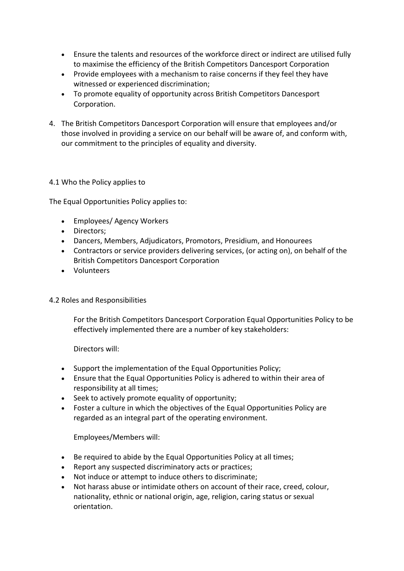- Ensure the talents and resources of the workforce direct or indirect are utilised fully to maximise the efficiency of the British Competitors Dancesport Corporation
- Provide employees with a mechanism to raise concerns if they feel they have witnessed or experienced discrimination;
- To promote equality of opportunity across British Competitors Dancesport Corporation.
- 4. The British Competitors Dancesport Corporation will ensure that employees and/or those involved in providing a service on our behalf will be aware of, and conform with, our commitment to the principles of equality and diversity.

## 4.1 Who the Policy applies to

The Equal Opportunities Policy applies to:

- Employees/ Agency Workers
- Directors;
- Dancers, Members, Adjudicators, Promotors, Presidium, and Honourees
- Contractors or service providers delivering services, (or acting on), on behalf of the British Competitors Dancesport Corporation
- Volunteers

#### 4.2 Roles and Responsibilities

For the British Competitors Dancesport Corporation Equal Opportunities Policy to be effectively implemented there are a number of key stakeholders:

Directors will:

- Support the implementation of the Equal Opportunities Policy;
- Ensure that the Equal Opportunities Policy is adhered to within their area of responsibility at all times;
- Seek to actively promote equality of opportunity;
- Foster a culture in which the objectives of the Equal Opportunities Policy are regarded as an integral part of the operating environment.

Employees/Members will:

- Be required to abide by the Equal Opportunities Policy at all times;
- Report any suspected discriminatory acts or practices;
- Not induce or attempt to induce others to discriminate;
- Not harass abuse or intimidate others on account of their race, creed, colour, nationality, ethnic or national origin, age, religion, caring status or sexual orientation.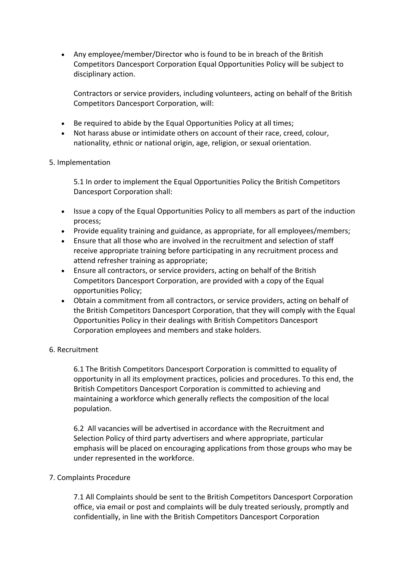• Any employee/member/Director who is found to be in breach of the British Competitors Dancesport Corporation Equal Opportunities Policy will be subject to disciplinary action.

Contractors or service providers, including volunteers, acting on behalf of the British Competitors Dancesport Corporation, will:

- Be required to abide by the Equal Opportunities Policy at all times;
- Not harass abuse or intimidate others on account of their race, creed, colour, nationality, ethnic or national origin, age, religion, or sexual orientation.

#### 5. Implementation

5.1 In order to implement the Equal Opportunities Policy the British Competitors Dancesport Corporation shall:

- Issue a copy of the Equal Opportunities Policy to all members as part of the induction process;
- Provide equality training and guidance, as appropriate, for all employees/members;
- Ensure that all those who are involved in the recruitment and selection of staff receive appropriate training before participating in any recruitment process and attend refresher training as appropriate;
- Ensure all contractors, or service providers, acting on behalf of the British Competitors Dancesport Corporation, are provided with a copy of the Equal opportunities Policy;
- Obtain a commitment from all contractors, or service providers, acting on behalf of the British Competitors Dancesport Corporation, that they will comply with the Equal Opportunities Policy in their dealings with British Competitors Dancesport Corporation employees and members and stake holders.

#### 6. Recruitment

6.1 The British Competitors Dancesport Corporation is committed to equality of opportunity in all its employment practices, policies and procedures. To this end, the British Competitors Dancesport Corporation is committed to achieving and maintaining a workforce which generally reflects the composition of the local population.

6.2 All vacancies will be advertised in accordance with the Recruitment and Selection Policy of third party advertisers and where appropriate, particular emphasis will be placed on encouraging applications from those groups who may be under represented in the workforce.

#### 7. Complaints Procedure

7.1 All Complaints should be sent to the British Competitors Dancesport Corporation office, via email or post and complaints will be duly treated seriously, promptly and confidentially, in line with the British Competitors Dancesport Corporation